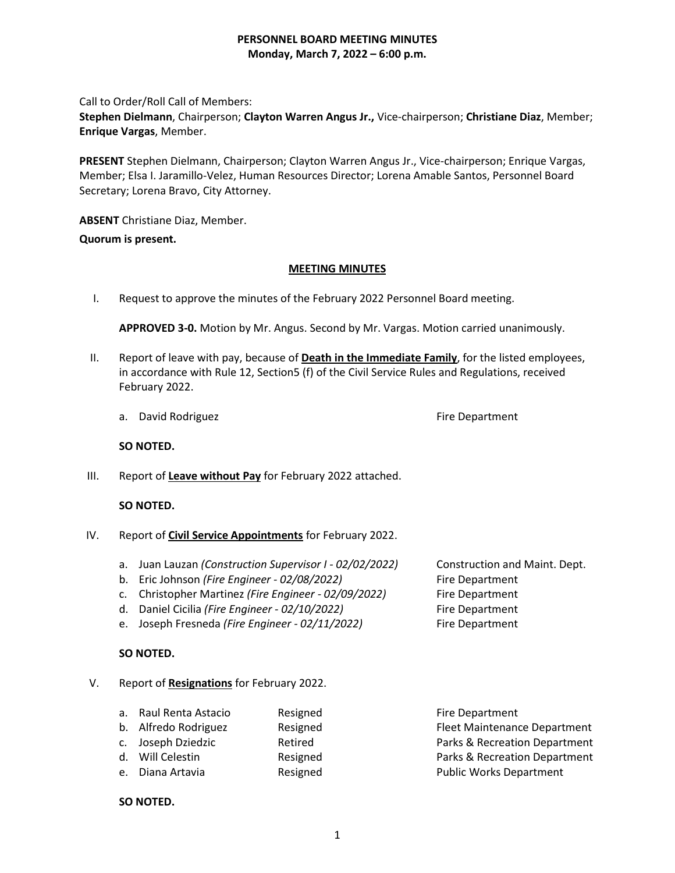Call to Order/Roll Call of Members:

**Stephen Dielmann**, Chairperson; **Clayton Warren Angus Jr.,** Vice-chairperson; **Christiane Diaz**, Member; **Enrique Vargas**, Member.

**PRESENT** Stephen Dielmann, Chairperson; Clayton Warren Angus Jr., Vice-chairperson; Enrique Vargas, Member; Elsa I. Jaramillo-Velez, Human Resources Director; Lorena Amable Santos, Personnel Board Secretary; Lorena Bravo, City Attorney.

**ABSENT** Christiane Diaz, Member.

**Quorum is present.**

## **MEETING MINUTES**

I. Request to approve the minutes of the February 2022 Personnel Board meeting.

**APPROVED 3-0.** Motion by Mr. Angus. Second by Mr. Vargas. Motion carried unanimously.

- II. Report of leave with pay, because of **Death in the Immediate Family**, for the listed employees, in accordance with Rule 12, Section5 (f) of the Civil Service Rules and Regulations, received February 2022.
	- a. David Rodriguez **Firm and Tanach and Tanach Primers** Fire Department

**SO NOTED.**

III. Report of **Leave without Pay** for February 2022 attached.

### **SO NOTED.**

- IV. Report of **Civil Service Appointments** for February 2022.
	- a. Juan Lauzan *(Construction Supervisor I - 02/02/2022)* Construction and Maint. Dept.
	- b. Eric Johnson *(Fire Engineer - 02/08/2022)* Fire Department
	- c. Christopher Martinez *(Fire Engineer - 02/09/2022)* Fire Department
	- d. Daniel Cicilia *(Fire Engineer - 02/10/2022)* Fire Department
	- e. Joseph Fresneda *(Fire Engineer - 02/11/2022)* Fire Department

### **SO NOTED.**

- V. Report of **Resignations** for February 2022.
	- a. Raul Renta Astacio Resigned Fire Department
	- b. Alfredo Rodriguez **Resigned** Fleet Maintenance Department
	- c. Joseph Dziedzic Retired Parks & Recreation Department
	-
	- e. Diana Artavia **Resigned Public Works Department**

d. Will Celestin **Resigned Parks & Recreation Department** 

### **SO NOTED.**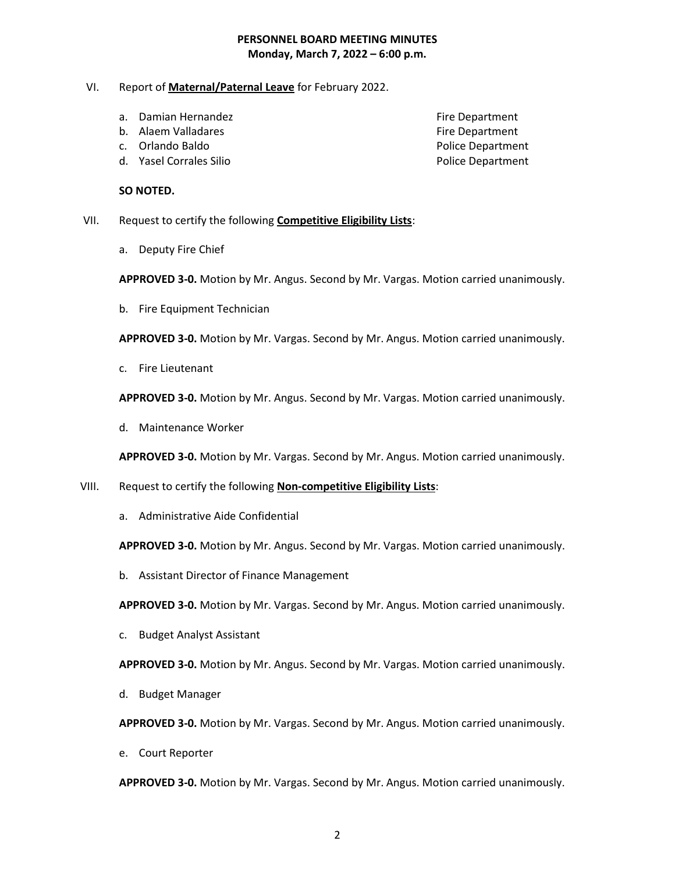## VI. Report of **Maternal/Paternal Leave** for February 2022.

- a. Damian Hernandez **Fire Department**
- b. Alaem Valladares **Fire Department**
- 
- d. Yasel Corrales Silio Police Department

**SO NOTED.**

c. Orlando Baldo Police Department

- VII. Request to certify the following **Competitive Eligibility Lists**:
	- a. Deputy Fire Chief

**APPROVED 3-0.** Motion by Mr. Angus. Second by Mr. Vargas. Motion carried unanimously.

b. Fire Equipment Technician

**APPROVED 3-0.** Motion by Mr. Vargas. Second by Mr. Angus. Motion carried unanimously.

c. Fire Lieutenant

**APPROVED 3-0.** Motion by Mr. Angus. Second by Mr. Vargas. Motion carried unanimously.

d. Maintenance Worker

**APPROVED 3-0.** Motion by Mr. Vargas. Second by Mr. Angus. Motion carried unanimously.

- VIII. Request to certify the following **Non-competitive Eligibility Lists**:
	- a. Administrative Aide Confidential

**APPROVED 3-0.** Motion by Mr. Angus. Second by Mr. Vargas. Motion carried unanimously.

b. Assistant Director of Finance Management

**APPROVED 3-0.** Motion by Mr. Vargas. Second by Mr. Angus. Motion carried unanimously.

c. Budget Analyst Assistant

**APPROVED 3-0.** Motion by Mr. Angus. Second by Mr. Vargas. Motion carried unanimously.

d. Budget Manager

**APPROVED 3-0.** Motion by Mr. Vargas. Second by Mr. Angus. Motion carried unanimously.

e. Court Reporter

**APPROVED 3-0.** Motion by Mr. Vargas. Second by Mr. Angus. Motion carried unanimously.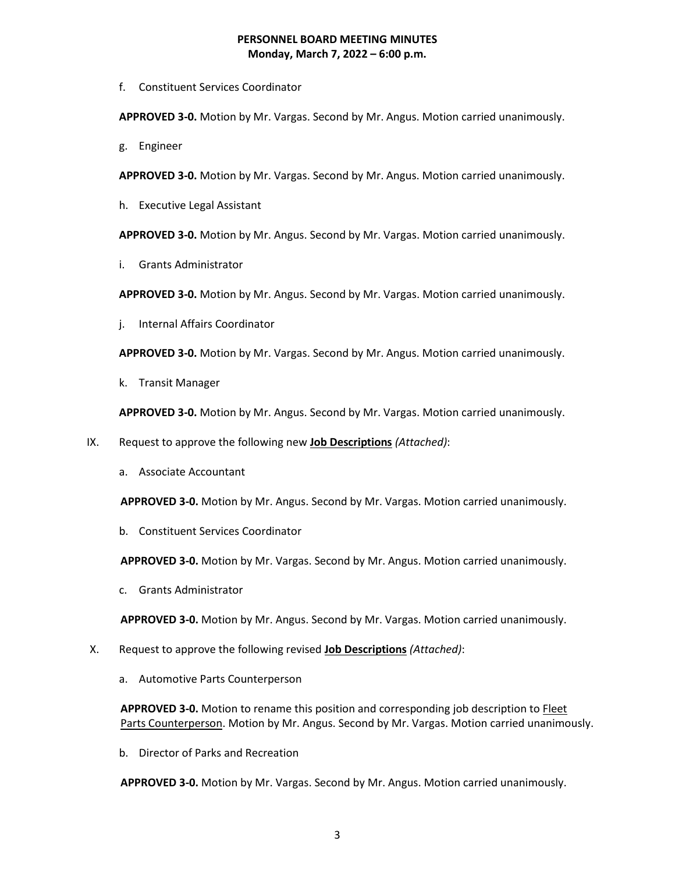f. Constituent Services Coordinator

**APPROVED 3-0.** Motion by Mr. Vargas. Second by Mr. Angus. Motion carried unanimously.

g. Engineer

**APPROVED 3-0.** Motion by Mr. Vargas. Second by Mr. Angus. Motion carried unanimously.

h. Executive Legal Assistant

**APPROVED 3-0.** Motion by Mr. Angus. Second by Mr. Vargas. Motion carried unanimously.

i. Grants Administrator

**APPROVED 3-0.** Motion by Mr. Angus. Second by Mr. Vargas. Motion carried unanimously.

j. Internal Affairs Coordinator

**APPROVED 3-0.** Motion by Mr. Vargas. Second by Mr. Angus. Motion carried unanimously.

k. Transit Manager

**APPROVED 3-0.** Motion by Mr. Angus. Second by Mr. Vargas. Motion carried unanimously.

- IX. Request to approve the following new **Job Descriptions** *(Attached)*:
	- a. Associate Accountant

 **APPROVED 3-0.** Motion by Mr. Angus. Second by Mr. Vargas. Motion carried unanimously.

b. Constituent Services Coordinator

 **APPROVED 3-0.** Motion by Mr. Vargas. Second by Mr. Angus. Motion carried unanimously.

c. Grants Administrator

 **APPROVED 3-0.** Motion by Mr. Angus. Second by Mr. Vargas. Motion carried unanimously.

- X. Request to approve the following revised **Job Descriptions** *(Attached)*:
	- a. Automotive Parts Counterperson

**APPROVED 3-0.** Motion to rename this position and corresponding job description to **Fleet** Parts Counterperson. Motion by Mr. Angus. Second by Mr. Vargas. Motion carried unanimously.

b. Director of Parks and Recreation

 **APPROVED 3-0.** Motion by Mr. Vargas. Second by Mr. Angus. Motion carried unanimously.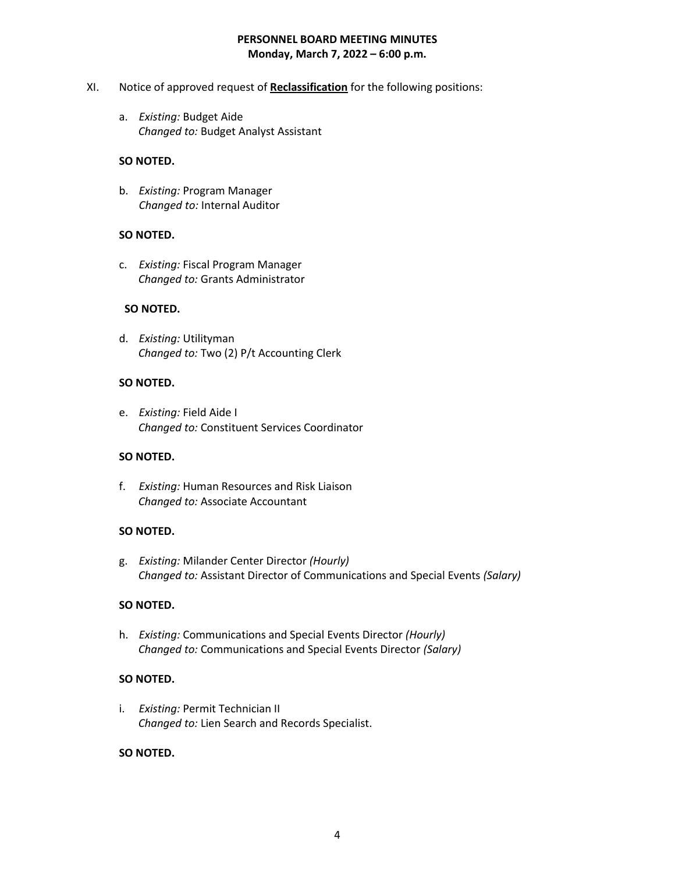- XI. Notice of approved request of **Reclassification** for the following positions:
	- a. *Existing:* Budget Aide *Changed to:* Budget Analyst Assistant

## **SO NOTED.**

b. *Existing:* Program Manager  *Changed to:* Internal Auditor

## **SO NOTED.**

c. *Existing:* Fiscal Program Manager *Changed to:* Grants Administrator

## **SO NOTED.**

d. *Existing:* Utilityman *Changed to:* Two (2) P/t Accounting Clerk

## **SO NOTED.**

e. *Existing:* Field Aide I *Changed to:* Constituent Services Coordinator

### **SO NOTED.**

f. *Existing:* Human Resources and Risk Liaison *Changed to:* Associate Accountant

### **SO NOTED.**

g. *Existing:* Milander Center Director *(Hourly) Changed to:* Assistant Director of Communications and Special Events *(Salary)*

### **SO NOTED.**

h. *Existing:* Communications and Special Events Director *(Hourly) Changed to:* Communications and Special Events Director *(Salary)*

## **SO NOTED.**

i. *Existing:* Permit Technician II *Changed to:* Lien Search and Records Specialist.

### **SO NOTED.**